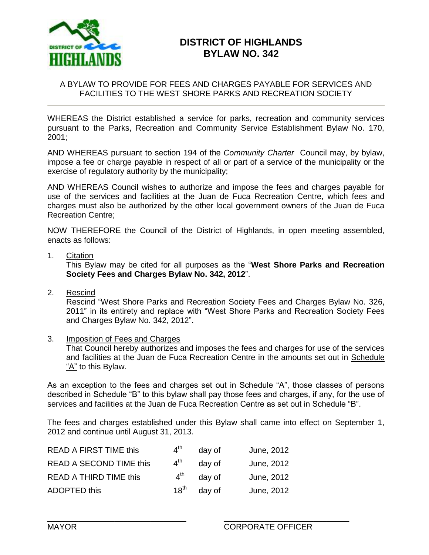

# **DISTRICT OF HIGHLANDS BYLAW NO. 342**

#### A BYLAW TO PROVIDE FOR FEES AND CHARGES PAYABLE FOR SERVICES AND FACILITIES TO THE WEST SHORE PARKS AND RECREATION SOCIETY

WHEREAS the District established a service for parks, recreation and community services pursuant to the Parks, Recreation and Community Service Establishment Bylaw No. 170, 2001;

AND WHEREAS pursuant to section 194 of the *Community Charter* Council may, by bylaw, impose a fee or charge payable in respect of all or part of a service of the municipality or the exercise of regulatory authority by the municipality;

AND WHEREAS Council wishes to authorize and impose the fees and charges payable for use of the services and facilities at the Juan de Fuca Recreation Centre, which fees and charges must also be authorized by the other local government owners of the Juan de Fuca Recreation Centre;

NOW THEREFORE the Council of the District of Highlands, in open meeting assembled, enacts as follows:

1. Citation

This Bylaw may be cited for all purposes as the "**West Shore Parks and Recreation Society Fees and Charges Bylaw No. 342, 2012**".

2. Rescind

Rescind "West Shore Parks and Recreation Society Fees and Charges Bylaw No. 326, 2011" in its entirety and replace with "West Shore Parks and Recreation Society Fees and Charges Bylaw No. 342, 2012".

3. Imposition of Fees and Charges

That Council hereby authorizes and imposes the fees and charges for use of the services and facilities at the Juan de Fuca Recreation Centre in the amounts set out in Schedule "A" to this Bylaw.

As an exception to the fees and charges set out in Schedule "A", those classes of persons described in Schedule "B" to this bylaw shall pay those fees and charges, if any, for the use of services and facilities at the Juan de Fuca Recreation Centre as set out in Schedule "B".

The fees and charges established under this Bylaw shall came into effect on September 1, 2012 and continue until August 31, 2013.

\_\_\_\_\_\_\_\_\_\_\_\_\_\_\_\_\_\_\_\_\_\_\_\_\_\_\_\_\_\_\_ \_\_\_\_\_\_\_\_\_\_\_\_\_\_\_\_\_\_\_\_\_\_\_\_\_\_\_\_

| <b>READ A FIRST TIME this</b>  | 4 <sup>th</sup> | day of | June, 2012 |
|--------------------------------|-----------------|--------|------------|
| <b>READ A SECOND TIME this</b> | $4^{\text{th}}$ | day of | June, 2012 |
| <b>READ A THIRD TIME this</b>  | $4^{\text{th}}$ | day of | June, 2012 |
| <b>ADOPTED this</b>            | $18^{\sf th}$   | day of | June, 2012 |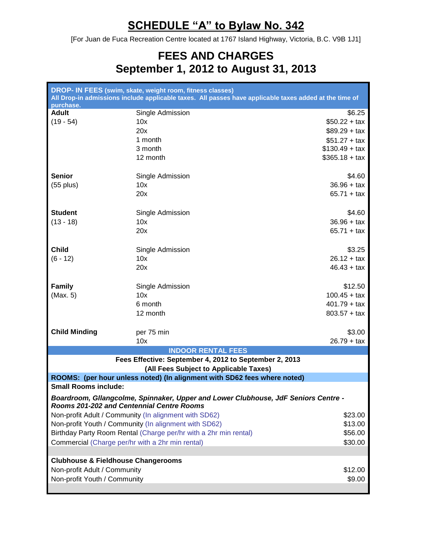# **SCHEDULE "A" to Bylaw No. 342**

[For Juan de Fuca Recreation Centre located at 1767 Island Highway, Victoria, B.C. V9B 1J1]

# **FEES AND CHARGES September 1, 2012 to August 31, 2013**

| DROP- IN FEES (swim, skate, weight room, fitness classes)<br>All Drop-in admissions include applicable taxes. All passes have applicable taxes added at the time of |                  |                                                                                    |  |
|---------------------------------------------------------------------------------------------------------------------------------------------------------------------|------------------|------------------------------------------------------------------------------------|--|
| purchase.                                                                                                                                                           |                  |                                                                                    |  |
| <b>Adult</b>                                                                                                                                                        | Single Admission | \$6.25                                                                             |  |
| $(19 - 54)$                                                                                                                                                         | 10x              | $$50.22 + tax$                                                                     |  |
|                                                                                                                                                                     | 20x              | $$89.29 + tax$                                                                     |  |
|                                                                                                                                                                     | 1 month          | $$51.27 + tax$                                                                     |  |
|                                                                                                                                                                     | 3 month          | $$130.49 + tax$                                                                    |  |
|                                                                                                                                                                     | 12 month         | $$365.18 + tax$                                                                    |  |
|                                                                                                                                                                     |                  |                                                                                    |  |
| <b>Senior</b>                                                                                                                                                       | Single Admission | \$4.60                                                                             |  |
| $(55$ plus)                                                                                                                                                         | 10x              | $36.96 + tax$                                                                      |  |
|                                                                                                                                                                     | 20x              | $65.71 + tax$                                                                      |  |
|                                                                                                                                                                     |                  |                                                                                    |  |
| <b>Student</b>                                                                                                                                                      | Single Admission | \$4.60                                                                             |  |
| $(13 - 18)$                                                                                                                                                         | 10x              | $36.96 + tax$                                                                      |  |
|                                                                                                                                                                     | 20x              | $65.71 + tax$                                                                      |  |
|                                                                                                                                                                     |                  |                                                                                    |  |
| <b>Child</b>                                                                                                                                                        | Single Admission | \$3.25                                                                             |  |
| $(6 - 12)$                                                                                                                                                          | 10x              | $26.12 + tax$                                                                      |  |
|                                                                                                                                                                     | 20x              | $46.43 + tax$                                                                      |  |
|                                                                                                                                                                     |                  |                                                                                    |  |
| <b>Family</b>                                                                                                                                                       | Single Admission | \$12.50                                                                            |  |
| (Max. 5)                                                                                                                                                            | 10x              | $100.45 + tax$                                                                     |  |
|                                                                                                                                                                     | 6 month          | $401.79 + tax$                                                                     |  |
|                                                                                                                                                                     | 12 month         | $803.57 + tax$                                                                     |  |
|                                                                                                                                                                     |                  |                                                                                    |  |
| <b>Child Minding</b>                                                                                                                                                | per 75 min       | \$3.00                                                                             |  |
|                                                                                                                                                                     | 10x              | $26.79 + tax$                                                                      |  |
|                                                                                                                                                                     |                  | <b>INDOOR RENTAL FEES</b>                                                          |  |
|                                                                                                                                                                     |                  | Fees Effective: September 4, 2012 to September 2, 2013                             |  |
|                                                                                                                                                                     |                  | (All Fees Subject to Applicable Taxes)                                             |  |
| <b>Small Rooms include:</b>                                                                                                                                         |                  | ROOMS: (per hour unless noted) (In alignment with SD62 fees where noted)           |  |
|                                                                                                                                                                     |                  |                                                                                    |  |
| Rooms 201-202 and Centennial Centre Rooms                                                                                                                           |                  | Boardroom, Gllangcolme, Spinnaker, Upper and Lower Clubhouse, JdF Seniors Centre - |  |
| Non-profit Adult / Community (In alignment with SD62)                                                                                                               |                  | \$23.00                                                                            |  |
| Non-profit Youth / Community (In alignment with SD62)                                                                                                               |                  | \$13.00                                                                            |  |
|                                                                                                                                                                     |                  |                                                                                    |  |
| Birthday Party Room Rental (Charge per/hr with a 2hr min rental)                                                                                                    |                  | \$56.00                                                                            |  |
| Commercial (Charge per/hr with a 2hr min rental)                                                                                                                    |                  | \$30.00                                                                            |  |
|                                                                                                                                                                     |                  |                                                                                    |  |
| <b>Clubhouse &amp; Fieldhouse Changerooms</b>                                                                                                                       |                  |                                                                                    |  |
| Non-profit Adult / Community                                                                                                                                        |                  | \$12.00                                                                            |  |
| Non-profit Youth / Community                                                                                                                                        |                  | \$9.00                                                                             |  |
|                                                                                                                                                                     |                  |                                                                                    |  |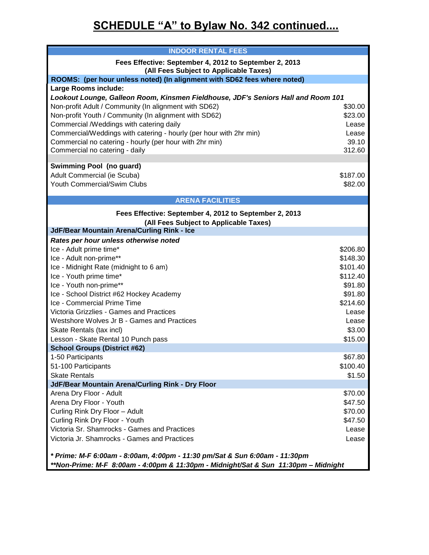# **SCHEDULE "A" to Bylaw No. 342 continued....**

| <b>INDOOR RENTAL FEES</b>                                                                        |          |  |
|--------------------------------------------------------------------------------------------------|----------|--|
| Fees Effective: September 4, 2012 to September 2, 2013<br>(All Fees Subject to Applicable Taxes) |          |  |
| ROOMS: (per hour unless noted) (In alignment with SD62 fees where noted)                         |          |  |
| Large Rooms include:                                                                             |          |  |
| Lookout Lounge, Galleon Room, Kinsmen Fieldhouse, JDF's Seniors Hall and Room 101                |          |  |
| Non-profit Adult / Community (In alignment with SD62)                                            | \$30.00  |  |
| Non-profit Youth / Community (In alignment with SD62)                                            | \$23.00  |  |
| Commercial /Weddings with catering daily                                                         | Lease    |  |
| Commercial/Weddings with catering - hourly (per hour with 2hr min)                               | Lease    |  |
| Commercial no catering - hourly (per hour with 2hr min)                                          | 39.10    |  |
| Commercial no catering - daily                                                                   | 312.60   |  |
| <b>Swimming Pool (no guard)</b>                                                                  |          |  |
| Adult Commercial (ie Scuba)                                                                      | \$187.00 |  |
| Youth Commercial/Swim Clubs                                                                      | \$82.00  |  |
|                                                                                                  |          |  |
| <b>ARENA FACILITIES</b>                                                                          |          |  |
| Fees Effective: September 4, 2012 to September 2, 2013                                           |          |  |
| (All Fees Subject to Applicable Taxes)                                                           |          |  |
| JdF/Bear Mountain Arena/Curling Rink - Ice                                                       |          |  |
| Rates per hour unless otherwise noted                                                            |          |  |
| Ice - Adult prime time*                                                                          | \$206.80 |  |
| Ice - Adult non-prime**                                                                          | \$148.30 |  |
| Ice - Midnight Rate (midnight to 6 am)                                                           | \$101.40 |  |
| Ice - Youth prime time*                                                                          | \$112.40 |  |
| Ice - Youth non-prime**                                                                          | \$91.80  |  |
| Ice - School District #62 Hockey Academy                                                         | \$91.80  |  |
| Ice - Commercial Prime Time                                                                      | \$214.60 |  |
| Victoria Grizzlies - Games and Practices                                                         | Lease    |  |
| Westshore Wolves Jr B - Games and Practices                                                      | Lease    |  |
| Skate Rentals (tax incl)                                                                         | \$3.00   |  |
| Lesson - Skate Rental 10 Punch pass                                                              | \$15.00  |  |
| <b>School Groups (District #62)</b>                                                              |          |  |
| 1-50 Participants                                                                                | \$67.80  |  |
| 51-100 Participants                                                                              | \$100.40 |  |
| <b>Skate Rentals</b>                                                                             | \$1.50   |  |
| JdF/Bear Mountain Arena/Curling Rink - Dry Floor                                                 |          |  |
| Arena Dry Floor - Adult                                                                          | \$70.00  |  |
| Arena Dry Floor - Youth                                                                          | \$47.50  |  |
| Curling Rink Dry Floor - Adult                                                                   | \$70.00  |  |
| Curling Rink Dry Floor - Youth<br>Victoria Sr. Shamrocks - Games and Practices                   | \$47.50  |  |
|                                                                                                  | Lease    |  |
| Victoria Jr. Shamrocks - Games and Practices                                                     | Lease    |  |
| * Prime: M-F 6:00am - 8:00am, 4:00pm - 11:30 pm/Sat & Sun 6:00am - 11:30pm                       |          |  |
| **Non-Prime: M-F 8:00am - 4:00pm & 11:30pm - Midnight/Sat & Sun 11:30pm - Midnight               |          |  |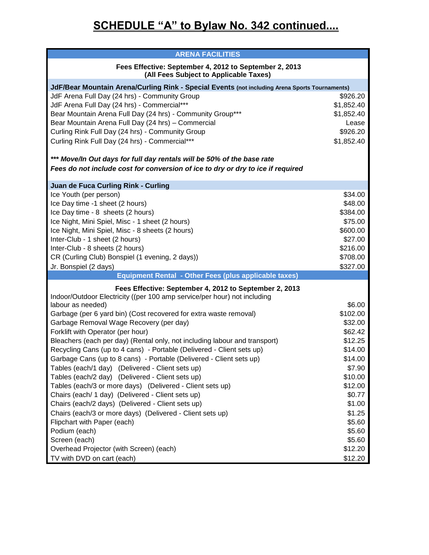# **SCHEDULE "A" to Bylaw No. 342 continued....**

| <b>ARENA FACILITIES</b>                                                                          |            |  |  |
|--------------------------------------------------------------------------------------------------|------------|--|--|
| Fees Effective: September 4, 2012 to September 2, 2013<br>(All Fees Subject to Applicable Taxes) |            |  |  |
| JdF/Bear Mountain Arena/Curling Rink - Special Events (not including Arena Sports Tournaments)   |            |  |  |
| JdF Arena Full Day (24 hrs) - Community Group                                                    | \$926.20   |  |  |
| JdF Arena Full Day (24 hrs) - Commercial***                                                      | \$1,852.40 |  |  |
| Bear Mountain Arena Full Day (24 hrs) - Community Group***                                       | \$1,852.40 |  |  |
| Bear Mountain Arena Full Day (24 hrs) - Commercial                                               | Lease      |  |  |
| Curling Rink Full Day (24 hrs) - Community Group                                                 | \$926.20   |  |  |
| Curling Rink Full Day (24 hrs) - Commercial***                                                   | \$1,852.40 |  |  |
| *** Move/In Out days for full day rentals will be 50% of the base rate                           |            |  |  |
| Fees do not include cost for conversion of ice to dry or dry to ice if required                  |            |  |  |
|                                                                                                  |            |  |  |
| <b>Juan de Fuca Curling Rink - Curling</b><br>Ice Youth (per person)                             | \$34.00    |  |  |
| Ice Day time -1 sheet (2 hours)                                                                  | \$48.00    |  |  |
| Ice Day time - 8 sheets (2 hours)                                                                | \$384.00   |  |  |
| Ice Night, Mini Spiel, Misc - 1 sheet (2 hours)                                                  | \$75.00    |  |  |
| Ice Night, Mini Spiel, Misc - 8 sheets (2 hours)                                                 | \$600.00   |  |  |
| Inter-Club - 1 sheet (2 hours)                                                                   | \$27.00    |  |  |
| Inter-Club - 8 sheets (2 hours)                                                                  | \$216.00   |  |  |
| CR (Curling Club) Bonspiel (1 evening, 2 days))                                                  | \$708.00   |  |  |
| Jr. Bonspiel (2 days)                                                                            | \$327.00   |  |  |
| Equipment Rental - Other Fees (plus applicable taxes)                                            |            |  |  |
| Fees Effective: September 4, 2012 to September 2, 2013                                           |            |  |  |
| Indoor/Outdoor Electricity ((per 100 amp service/per hour) not including                         |            |  |  |
| labour as needed)                                                                                | \$6.00     |  |  |
| Garbage (per 6 yard bin) (Cost recovered for extra waste removal)                                | \$102.00   |  |  |
| Garbage Removal Wage Recovery (per day)                                                          | \$32.00    |  |  |
| Forklift with Operator (per hour)                                                                | \$62.42    |  |  |
| Bleachers (each per day) (Rental only, not including labour and transport)                       | \$12.25    |  |  |
| Recycling Cans (up to 4 cans) - Portable (Delivered - Client sets up)                            | \$14.00    |  |  |
| Garbage Cans (up to 8 cans) - Portable (Delivered - Client sets up)                              | \$14.00    |  |  |
| Tables (each/1 day) (Delivered - Client sets up)                                                 | \$7.90     |  |  |
| Tables (each/2 day) (Delivered - Client sets up)                                                 | \$10.00    |  |  |
| Tables (each/3 or more days) (Delivered - Client sets up)                                        | \$12.00    |  |  |
| Chairs (each/ 1 day) (Delivered - Client sets up)                                                | \$0.77     |  |  |
| Chairs (each/2 days) (Delivered - Client sets up)                                                | \$1.00     |  |  |
| Chairs (each/3 or more days) (Delivered - Client sets up)                                        | \$1.25     |  |  |
| Flipchart with Paper (each)                                                                      | \$5.60     |  |  |
| Podium (each)                                                                                    | \$5.60     |  |  |
| Screen (each)                                                                                    | \$5.60     |  |  |
| Overhead Projector (with Screen) (each)                                                          | \$12.20    |  |  |
| TV with DVD on cart (each)                                                                       | \$12.20    |  |  |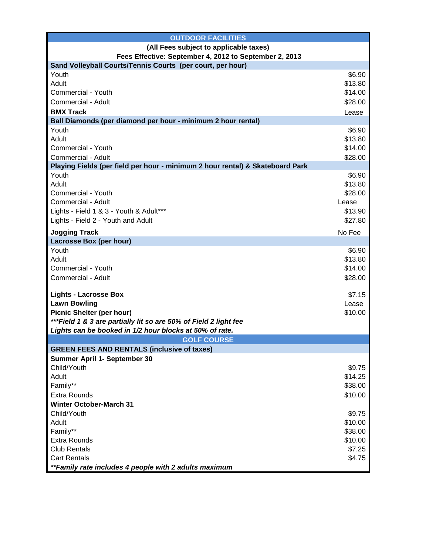| <b>OUTDOOR FACILITIES</b>                                                              |         |  |  |
|----------------------------------------------------------------------------------------|---------|--|--|
| (All Fees subject to applicable taxes)                                                 |         |  |  |
| Fees Effective: September 4, 2012 to September 2, 2013                                 |         |  |  |
| Sand Volleyball Courts/Tennis Courts (per court, per hour)                             |         |  |  |
| Youth                                                                                  | \$6.90  |  |  |
| Adult                                                                                  | \$13.80 |  |  |
| Commercial - Youth                                                                     | \$14.00 |  |  |
| Commercial - Adult                                                                     | \$28.00 |  |  |
| <b>BMX Track</b>                                                                       | Lease   |  |  |
| Ball Diamonds (per diamond per hour - minimum 2 hour rental)                           |         |  |  |
| Youth                                                                                  | \$6.90  |  |  |
| Adult                                                                                  | \$13.80 |  |  |
| Commercial - Youth                                                                     | \$14.00 |  |  |
| Commercial - Adult                                                                     | \$28.00 |  |  |
| Playing Fields (per field per hour - minimum 2 hour rental) & Skateboard Park<br>Youth | \$6.90  |  |  |
| Adult                                                                                  | \$13.80 |  |  |
| Commercial - Youth                                                                     | \$28.00 |  |  |
| Commercial - Adult                                                                     | Lease   |  |  |
| Lights - Field 1 & 3 - Youth & Adult***                                                | \$13.90 |  |  |
| Lights - Field 2 - Youth and Adult                                                     | \$27.80 |  |  |
|                                                                                        |         |  |  |
| <b>Jogging Track</b>                                                                   | No Fee  |  |  |
| Lacrosse Box (per hour)<br>Youth                                                       | \$6.90  |  |  |
| Adult                                                                                  | \$13.80 |  |  |
| Commercial - Youth                                                                     | \$14.00 |  |  |
| Commercial - Adult                                                                     | \$28.00 |  |  |
|                                                                                        |         |  |  |
| <b>Lights - Lacrosse Box</b>                                                           | \$7.15  |  |  |
| <b>Lawn Bowling</b>                                                                    | Lease   |  |  |
| <b>Picnic Shelter (per hour)</b>                                                       | \$10.00 |  |  |
| *** Field 1 & 3 are partially lit so are 50% of Field 2 light fee                      |         |  |  |
| Lights can be booked in 1/2 hour blocks at 50% of rate.                                |         |  |  |
| <b>GOLF COURSE</b>                                                                     |         |  |  |
| <b>GREEN FEES AND RENTALS (inclusive of taxes)</b>                                     |         |  |  |
| Summer April 1- September 30                                                           |         |  |  |
| Child/Youth                                                                            | \$9.75  |  |  |
| Adult                                                                                  | \$14.25 |  |  |
| Family**                                                                               | \$38.00 |  |  |
| <b>Extra Rounds</b>                                                                    | \$10.00 |  |  |
| <b>Winter October-March 31</b>                                                         |         |  |  |
| Child/Youth                                                                            | \$9.75  |  |  |
| Adult                                                                                  | \$10.00 |  |  |
| Family**                                                                               | \$38.00 |  |  |
| <b>Extra Rounds</b>                                                                    | \$10.00 |  |  |
| <b>Club Rentals</b>                                                                    | \$7.25  |  |  |
| <b>Cart Rentals</b>                                                                    | \$4.75  |  |  |
| **Family rate includes 4 people with 2 adults maximum                                  |         |  |  |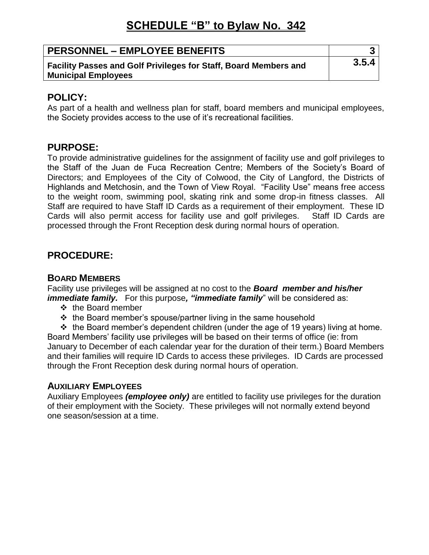# **SCHEDULE "B" to Bylaw No. 342**

| <b>PERSONNEL – EMPLOYEE BENEFITS</b>                                                           | ີ<br>J |
|------------------------------------------------------------------------------------------------|--------|
| Facility Passes and Golf Privileges for Staff, Board Members and<br><b>Municipal Employees</b> | 3.5.4  |

## **POLICY:**

As part of a health and wellness plan for staff, board members and municipal employees, the Society provides access to the use of it's recreational facilities.

## **PURPOSE:**

To provide administrative guidelines for the assignment of facility use and golf privileges to the Staff of the Juan de Fuca Recreation Centre; Members of the Society's Board of Directors; and Employees of the City of Colwood, the City of Langford, the Districts of Highlands and Metchosin, and the Town of View Royal. "Facility Use" means free access to the weight room, swimming pool, skating rink and some drop-in fitness classes. All Staff are required to have Staff ID Cards as a requirement of their employment. These ID Cards will also permit access for facility use and golf privileges. Staff ID Cards are processed through the Front Reception desk during normal hours of operation.

# **PROCEDURE:**

#### **BOARD MEMBERS**

Facility use privileges will be assigned at no cost to the *Board member and his/her immediate family.* For this purpose, "*immediate family*" will be considered as:

- ❖ the Board member
- $\cdot \cdot$  the Board member's spouse/partner living in the same household

 $\div$  the Board member's dependent children (under the age of 19 years) living at home. Board Members' facility use privileges will be based on their terms of office (ie: from January to December of each calendar year for the duration of their term.) Board Members and their families will require ID Cards to access these privileges. ID Cards are processed through the Front Reception desk during normal hours of operation.

#### **AUXILIARY EMPLOYEES**

Auxiliary Employees *(employee only)* are entitled to facility use privileges for the duration of their employment with the Society. These privileges will not normally extend beyond one season/session at a time.